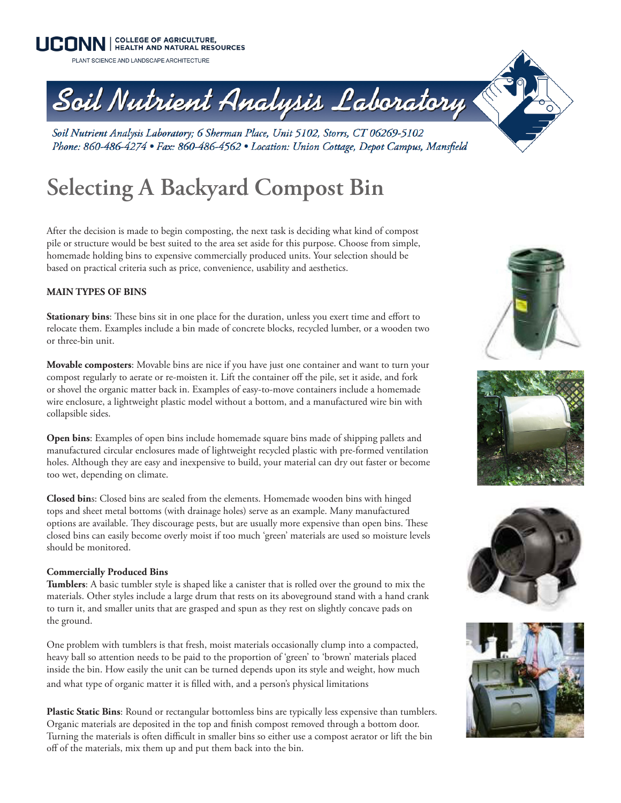**UCONN** | COLLEGE OF AGRICULTURE,

PLANT SCIENCE AND LANDSCAPE ARCHITECTURE

# Soil Nutrient Analysis Laboratory

Soil Nutrient Analysis Laboratory; 6 Sherman Place, Unit 5102, Storrs, CT 06269-5102 Phone: 860-486-4274 • Fax: 860-486-4562 • Location: Union Cottage, Depot Campus, Mansfield

# **Selecting A Backyard Compost Bin**

After the decision is made to begin composting, the next task is deciding what kind of compost pile or structure would be best suited to the area set aside for this purpose. Choose from simple, homemade holding bins to expensive commercially produced units. Your selection should be based on practical criteria such as price, convenience, usability and aesthetics.

## **MAIN TYPES OF BINS**

**Stationary bins**: These bins sit in one place for the duration, unless you exert time and effort to relocate them. Examples include a bin made of concrete blocks, recycled lumber, or a wooden two or three-bin unit.

**Movable composters**: Movable bins are nice if you have just one container and want to turn your compost regularly to aerate or re-moisten it. Lift the container off the pile, set it aside, and fork or shovel the organic matter back in. Examples of easy-to-move containers include a homemade wire enclosure, a lightweight plastic model without a bottom, and a manufactured wire bin with collapsible sides.

**Open bins**: Examples of open bins include homemade square bins made of shipping pallets and manufactured circular enclosures made of lightweight recycled plastic with pre-formed ventilation holes. Although they are easy and inexpensive to build, your material can dry out faster or become too wet, depending on climate.

**Closed bin**s: Closed bins are sealed from the elements. Homemade wooden bins with hinged tops and sheet metal bottoms (with drainage holes) serve as an example. Many manufactured options are available. They discourage pests, but are usually more expensive than open bins. These closed bins can easily become overly moist if too much 'green' materials are used so moisture levels should be monitored.

### **Commercially Produced Bins**

**Tumblers**: A basic tumbler style is shaped like a canister that is rolled over the ground to mix the materials. Other styles include a large drum that rests on its aboveground stand with a hand crank to turn it, and smaller units that are grasped and spun as they rest on slightly concave pads on the ground.

One problem with tumblers is that fresh, moist materials occasionally clump into a compacted, heavy ball so attention needs to be paid to the proportion of 'green' to 'brown' materials placed inside the bin. How easily the unit can be turned depends upon its style and weight, how much and what type of organic matter it is filled with, and a person's physical limitations

**Plastic Static Bins**: Round or rectangular bottomless bins are typically less expensive than tumblers. Organic materials are deposited in the top and finish compost removed through a bottom door. Turning the materials is often difficult in smaller bins so either use a compost aerator or lift the bin off of the materials, mix them up and put them back into the bin.